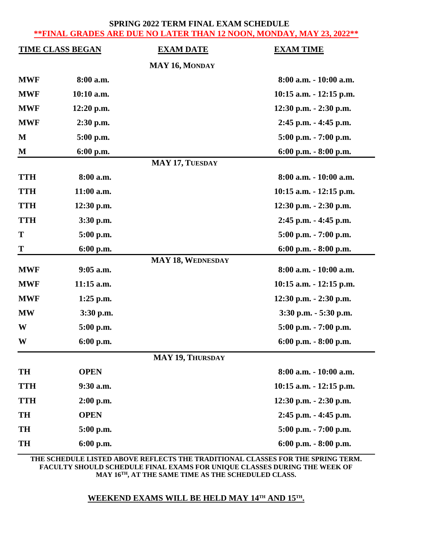#### **SPRING 2022 TERM FINAL EXAM SCHEDULE \*\*FINAL GRADES ARE DUE NO LATER THAN 12 NOON, MONDAY, MAY 23, 2022\*\***

| <b>TIME CLASS BEGAN</b> |             | <b>EXAM DATE</b>         | <b>EXAM TIME</b>           |
|-------------------------|-------------|--------------------------|----------------------------|
|                         |             | MAY 16, MONDAY           |                            |
| <b>MWF</b>              | 8:00 a.m.   |                          | 8:00 a.m. - 10:00 a.m.     |
| <b>MWF</b>              | 10:10 a.m.  |                          | $10:15$ a.m. $-12:15$ p.m. |
| <b>MWF</b>              | 12:20 p.m.  |                          | 12:30 p.m. - 2:30 p.m.     |
| <b>MWF</b>              | 2:30 p.m.   |                          | 2:45 p.m. - 4:45 p.m.      |
| M                       | 5:00 p.m.   |                          | $5:00$ p.m. $-7:00$ p.m.   |
| M                       | 6:00 p.m.   |                          | 6:00 p.m. - 8:00 p.m.      |
|                         |             | <b>MAY 17, TUESDAY</b>   |                            |
| <b>TTH</b>              | 8:00 a.m.   |                          | 8:00 a.m. - 10:00 a.m.     |
| <b>TTH</b>              | 11:00 a.m.  |                          | 10:15 a.m. - 12:15 p.m.    |
| <b>TTH</b>              | 12:30 p.m.  |                          | 12:30 p.m. - 2:30 p.m.     |
| <b>TTH</b>              | 3:30 p.m.   |                          | 2:45 p.m. - 4:45 p.m.      |
| T                       | 5:00 p.m.   |                          | 5:00 p.m. - 7:00 p.m.      |
| T                       | $6:00$ p.m. |                          | 6:00 p.m. - 8:00 p.m.      |
|                         |             | <b>MAY 18, WEDNESDAY</b> |                            |
| <b>MWF</b>              | $9:05$ a.m. |                          | 8:00 a.m. - 10:00 a.m.     |
| <b>MWF</b>              | 11:15 a.m.  |                          | $10:15$ a.m. $-12:15$ p.m. |
| <b>MWF</b>              | $1:25$ p.m. |                          | $12:30$ p.m. $-2:30$ p.m.  |
| <b>MW</b>               | $3:30$ p.m. |                          | 3:30 p.m. - 5:30 p.m.      |
| W                       | 5:00 p.m.   |                          | $5:00$ p.m. $-7:00$ p.m.   |
| W                       | 6:00 p.m.   |                          | 6:00 p.m. - 8:00 p.m.      |
|                         |             | <b>MAY 19, THURSDAY</b>  |                            |
| TH                      | <b>OPEN</b> |                          | 8:00 a.m. - 10:00 a.m.     |
| <b>TTH</b>              | 9:30 a.m.   |                          | $10:15$ a.m. $-12:15$ p.m. |
| <b>TTH</b>              | $2:00$ p.m. |                          | 12:30 p.m. - 2:30 p.m.     |
| TH                      | <b>OPEN</b> |                          | 2:45 p.m. - 4:45 p.m.      |
| <b>TH</b>               | 5:00 p.m.   |                          | 5:00 p.m. - 7:00 p.m.      |
| TH                      | 6:00 p.m.   |                          | 6:00 p.m. - 8:00 p.m.      |

**THE SCHEDULE LISTED ABOVE REFLECTS THE TRADITIONAL CLASSES FOR THE SPRING TERM. FACULTY SHOULD SCHEDULE FINAL EXAMS FOR UNIQUE CLASSES DURING THE WEEK OF MAY 16 TH, AT THE SAME TIME AS THE SCHEDULED CLASS.**

### **WEEKEND EXAMS WILL BE HELD MAY 14TH AND 15TH.**